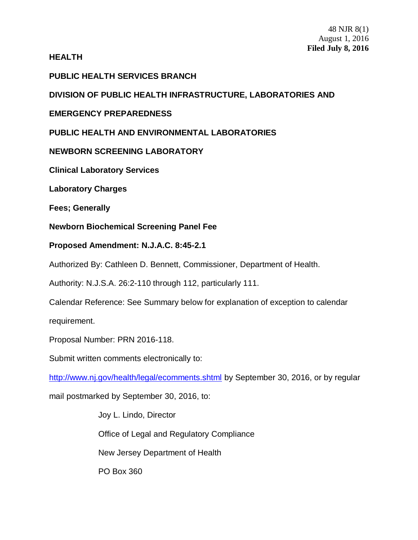## **HEALTH**

# **PUBLIC HEALTH SERVICES BRANCH**

**DIVISION OF PUBLIC HEALTH INFRASTRUCTURE, LABORATORIES AND**

# **EMERGENCY PREPAREDNESS**

# **PUBLIC HEALTH AND ENVIRONMENTAL LABORATORIES**

# **NEWBORN SCREENING LABORATORY**

**Clinical Laboratory Services**

**Laboratory Charges**

**Fees; Generally**

**Newborn Biochemical Screening Panel Fee**

## **Proposed Amendment: N.J.A.C. 8:45-2.1**

Authorized By: Cathleen D. Bennett, Commissioner, Department of Health.

Authority: N.J.S.A. 26:2-110 through 112, particularly 111.

Calendar Reference: See Summary below for explanation of exception to calendar requirement.

Proposal Number: PRN 2016-118.

Submit written comments electronically to:

<http://www.nj.gov/health/legal/ecomments.shtml> by September 30, 2016, or by regular

mail postmarked by September 30, 2016, to:

Joy L. Lindo, Director Office of Legal and Regulatory Compliance New Jersey Department of Health PO Box 360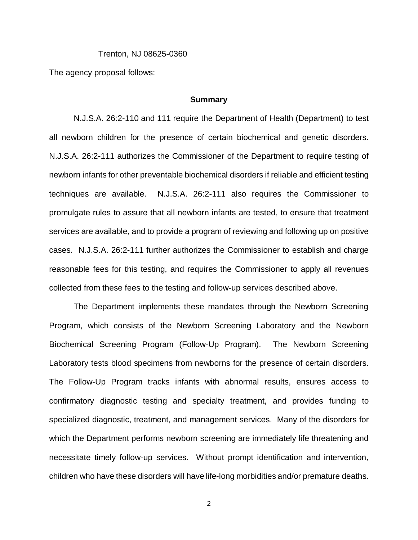#### Trenton, NJ 08625-0360

The agency proposal follows:

#### **Summary**

N.J.S.A. 26:2-110 and 111 require the Department of Health (Department) to test all newborn children for the presence of certain biochemical and genetic disorders. N.J.S.A. 26:2-111 authorizes the Commissioner of the Department to require testing of newborn infants for other preventable biochemical disorders if reliable and efficient testing techniques are available. N.J.S.A. 26:2-111 also requires the Commissioner to promulgate rules to assure that all newborn infants are tested, to ensure that treatment services are available, and to provide a program of reviewing and following up on positive cases. N.J.S.A. 26:2-111 further authorizes the Commissioner to establish and charge reasonable fees for this testing, and requires the Commissioner to apply all revenues collected from these fees to the testing and follow-up services described above.

The Department implements these mandates through the Newborn Screening Program, which consists of the Newborn Screening Laboratory and the Newborn Biochemical Screening Program (Follow-Up Program). The Newborn Screening Laboratory tests blood specimens from newborns for the presence of certain disorders. The Follow-Up Program tracks infants with abnormal results, ensures access to confirmatory diagnostic testing and specialty treatment, and provides funding to specialized diagnostic, treatment, and management services. Many of the disorders for which the Department performs newborn screening are immediately life threatening and necessitate timely follow-up services. Without prompt identification and intervention, children who have these disorders will have life-long morbidities and/or premature deaths.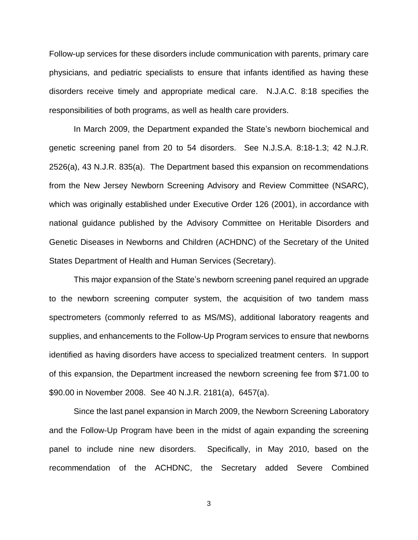Follow-up services for these disorders include communication with parents, primary care physicians, and pediatric specialists to ensure that infants identified as having these disorders receive timely and appropriate medical care. N.J.A.C. 8:18 specifies the responsibilities of both programs, as well as health care providers.

In March 2009, the Department expanded the State's newborn biochemical and genetic screening panel from 20 to 54 disorders. See N.J.S.A. 8:18-1.3; 42 N.J.R. 2526(a), 43 N.J.R. 835(a). The Department based this expansion on recommendations from the New Jersey Newborn Screening Advisory and Review Committee (NSARC), which was originally established under Executive Order 126 (2001), in accordance with national guidance published by the Advisory Committee on Heritable Disorders and Genetic Diseases in Newborns and Children (ACHDNC) of the Secretary of the United States Department of Health and Human Services (Secretary).

This major expansion of the State's newborn screening panel required an upgrade to the newborn screening computer system, the acquisition of two tandem mass spectrometers (commonly referred to as MS/MS), additional laboratory reagents and supplies, and enhancements to the Follow-Up Program services to ensure that newborns identified as having disorders have access to specialized treatment centers. In support of this expansion, the Department increased the newborn screening fee from \$71.00 to \$90.00 in November 2008. See 40 N.J.R. 2181(a), 6457(a).

Since the last panel expansion in March 2009, the Newborn Screening Laboratory and the Follow-Up Program have been in the midst of again expanding the screening panel to include nine new disorders. Specifically, in May 2010, based on the recommendation of the ACHDNC, the Secretary added Severe Combined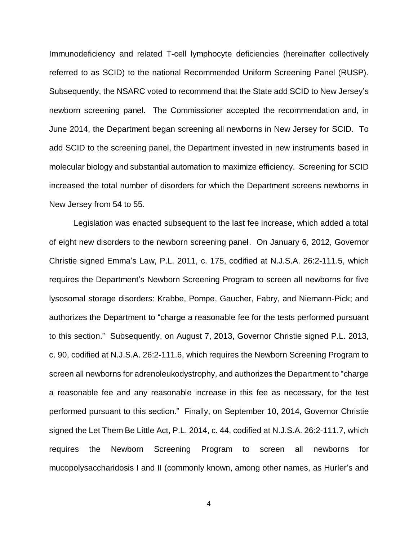Immunodeficiency and related T-cell lymphocyte deficiencies (hereinafter collectively referred to as SCID) to the national Recommended Uniform Screening Panel (RUSP). Subsequently, the NSARC voted to recommend that the State add SCID to New Jersey's newborn screening panel. The Commissioner accepted the recommendation and, in June 2014, the Department began screening all newborns in New Jersey for SCID. To add SCID to the screening panel, the Department invested in new instruments based in molecular biology and substantial automation to maximize efficiency. Screening for SCID increased the total number of disorders for which the Department screens newborns in New Jersey from 54 to 55.

Legislation was enacted subsequent to the last fee increase, which added a total of eight new disorders to the newborn screening panel. On January 6, 2012, Governor Christie signed Emma's Law, P.L. 2011, c. 175, codified at N.J.S.A. 26:2-111.5, which requires the Department's Newborn Screening Program to screen all newborns for five lysosomal storage disorders: Krabbe, Pompe, Gaucher, Fabry, and Niemann-Pick; and authorizes the Department to "charge a reasonable fee for the tests performed pursuant to this section." Subsequently, on August 7, 2013, Governor Christie signed P.L. 2013, c. 90, codified at N.J.S.A. 26:2-111.6, which requires the Newborn Screening Program to screen all newborns for adrenoleukodystrophy, and authorizes the Department to "charge a reasonable fee and any reasonable increase in this fee as necessary, for the test performed pursuant to this section." Finally, on September 10, 2014, Governor Christie signed the Let Them Be Little Act, P.L. 2014, c. 44, codified at N.J.S.A. 26:2-111.7, which requires the Newborn Screening Program to screen all newborns for mucopolysaccharidosis I and II (commonly known, among other names, as Hurler's and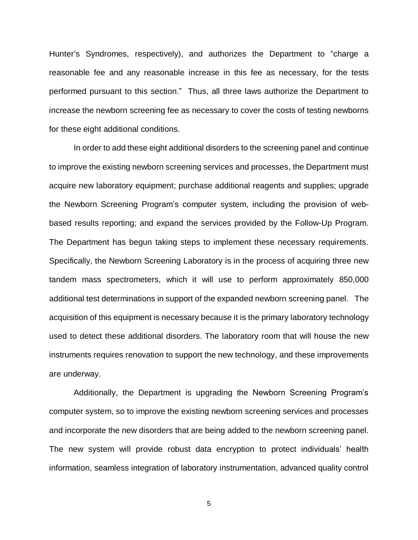Hunter's Syndromes, respectively), and authorizes the Department to "charge a reasonable fee and any reasonable increase in this fee as necessary, for the tests performed pursuant to this section." Thus, all three laws authorize the Department to increase the newborn screening fee as necessary to cover the costs of testing newborns for these eight additional conditions.

In order to add these eight additional disorders to the screening panel and continue to improve the existing newborn screening services and processes, the Department must acquire new laboratory equipment; purchase additional reagents and supplies; upgrade the Newborn Screening Program's computer system, including the provision of webbased results reporting; and expand the services provided by the Follow-Up Program. The Department has begun taking steps to implement these necessary requirements. Specifically, the Newborn Screening Laboratory is in the process of acquiring three new tandem mass spectrometers, which it will use to perform approximately 850,000 additional test determinations in support of the expanded newborn screening panel. The acquisition of this equipment is necessary because it is the primary laboratory technology used to detect these additional disorders. The laboratory room that will house the new instruments requires renovation to support the new technology, and these improvements are underway.

Additionally, the Department is upgrading the Newborn Screening Program's computer system, so to improve the existing newborn screening services and processes and incorporate the new disorders that are being added to the newborn screening panel. The new system will provide robust data encryption to protect individuals' health information, seamless integration of laboratory instrumentation, advanced quality control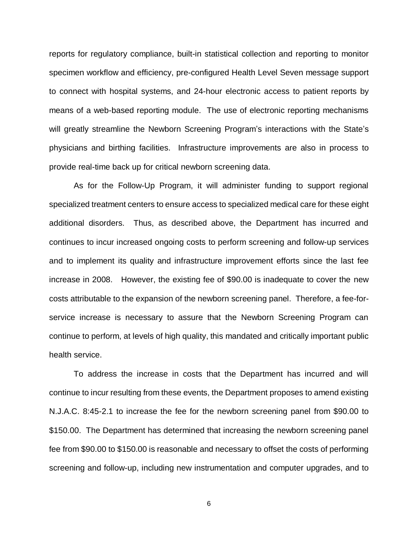reports for regulatory compliance, built-in statistical collection and reporting to monitor specimen workflow and efficiency, pre-configured Health Level Seven message support to connect with hospital systems, and 24-hour electronic access to patient reports by means of a web-based reporting module. The use of electronic reporting mechanisms will greatly streamline the Newborn Screening Program's interactions with the State's physicians and birthing facilities. Infrastructure improvements are also in process to provide real-time back up for critical newborn screening data.

As for the Follow-Up Program, it will administer funding to support regional specialized treatment centers to ensure access to specialized medical care for these eight additional disorders. Thus, as described above, the Department has incurred and continues to incur increased ongoing costs to perform screening and follow-up services and to implement its quality and infrastructure improvement efforts since the last fee increase in 2008. However, the existing fee of \$90.00 is inadequate to cover the new costs attributable to the expansion of the newborn screening panel. Therefore, a fee-forservice increase is necessary to assure that the Newborn Screening Program can continue to perform, at levels of high quality, this mandated and critically important public health service.

To address the increase in costs that the Department has incurred and will continue to incur resulting from these events, the Department proposes to amend existing N.J.A.C. 8:45-2.1 to increase the fee for the newborn screening panel from \$90.00 to \$150.00. The Department has determined that increasing the newborn screening panel fee from \$90.00 to \$150.00 is reasonable and necessary to offset the costs of performing screening and follow-up, including new instrumentation and computer upgrades, and to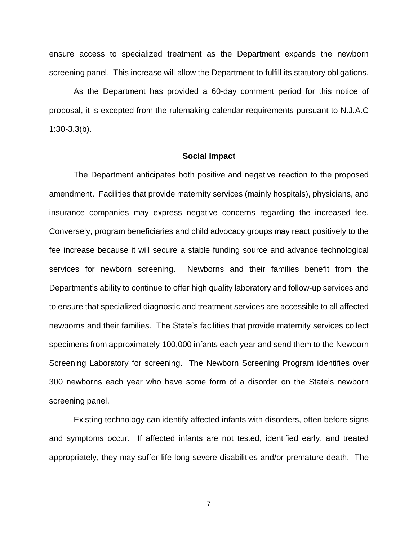ensure access to specialized treatment as the Department expands the newborn screening panel. This increase will allow the Department to fulfill its statutory obligations.

As the Department has provided a 60-day comment period for this notice of proposal, it is excepted from the rulemaking calendar requirements pursuant to N.J.A.C 1:30-3.3(b).

### **Social Impact**

The Department anticipates both positive and negative reaction to the proposed amendment. Facilities that provide maternity services (mainly hospitals), physicians, and insurance companies may express negative concerns regarding the increased fee. Conversely, program beneficiaries and child advocacy groups may react positively to the fee increase because it will secure a stable funding source and advance technological services for newborn screening. Newborns and their families benefit from the Department's ability to continue to offer high quality laboratory and follow-up services and to ensure that specialized diagnostic and treatment services are accessible to all affected newborns and their families. The State's facilities that provide maternity services collect specimens from approximately 100,000 infants each year and send them to the Newborn Screening Laboratory for screening. The Newborn Screening Program identifies over 300 newborns each year who have some form of a disorder on the State's newborn screening panel.

Existing technology can identify affected infants with disorders, often before signs and symptoms occur. If affected infants are not tested, identified early, and treated appropriately, they may suffer life-long severe disabilities and/or premature death. The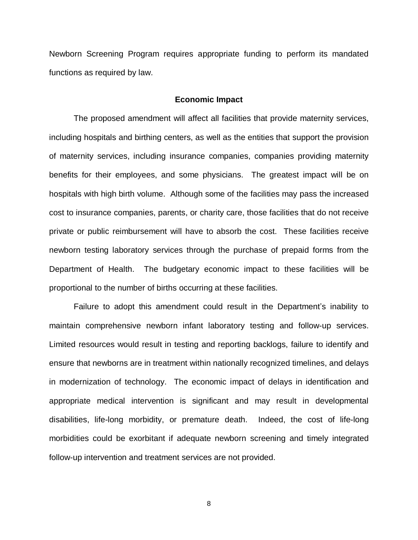Newborn Screening Program requires appropriate funding to perform its mandated functions as required by law.

### **Economic Impact**

The proposed amendment will affect all facilities that provide maternity services, including hospitals and birthing centers, as well as the entities that support the provision of maternity services, including insurance companies, companies providing maternity benefits for their employees, and some physicians. The greatest impact will be on hospitals with high birth volume. Although some of the facilities may pass the increased cost to insurance companies, parents, or charity care, those facilities that do not receive private or public reimbursement will have to absorb the cost. These facilities receive newborn testing laboratory services through the purchase of prepaid forms from the Department of Health. The budgetary economic impact to these facilities will be proportional to the number of births occurring at these facilities.

Failure to adopt this amendment could result in the Department's inability to maintain comprehensive newborn infant laboratory testing and follow-up services. Limited resources would result in testing and reporting backlogs, failure to identify and ensure that newborns are in treatment within nationally recognized timelines, and delays in modernization of technology. The economic impact of delays in identification and appropriate medical intervention is significant and may result in developmental disabilities, life-long morbidity, or premature death. Indeed, the cost of life-long morbidities could be exorbitant if adequate newborn screening and timely integrated follow-up intervention and treatment services are not provided.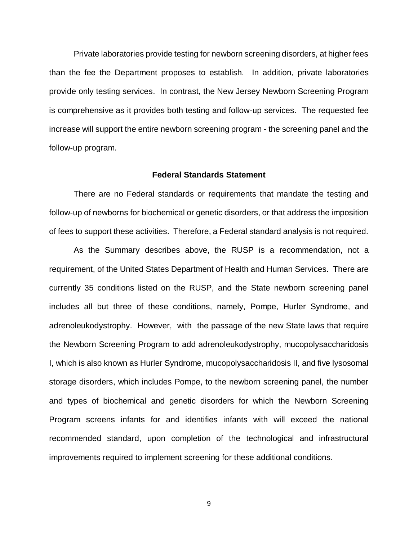Private laboratories provide testing for newborn screening disorders, at higher fees than the fee the Department proposes to establish. In addition, private laboratories provide only testing services. In contrast, the New Jersey Newborn Screening Program is comprehensive as it provides both testing and follow-up services. The requested fee increase will support the entire newborn screening program - the screening panel and the follow-up program.

### **Federal Standards Statement**

There are no Federal standards or requirements that mandate the testing and follow-up of newborns for biochemical or genetic disorders, or that address the imposition of fees to support these activities. Therefore, a Federal standard analysis is not required.

As the Summary describes above, the RUSP is a recommendation, not a requirement, of the United States Department of Health and Human Services. There are currently 35 conditions listed on the RUSP, and the State newborn screening panel includes all but three of these conditions, namely, Pompe, Hurler Syndrome, and adrenoleukodystrophy. However, with the passage of the new State laws that require the Newborn Screening Program to add adrenoleukodystrophy, mucopolysaccharidosis I, which is also known as Hurler Syndrome, mucopolysaccharidosis II, and five lysosomal storage disorders, which includes Pompe, to the newborn screening panel, the number and types of biochemical and genetic disorders for which the Newborn Screening Program screens infants for and identifies infants with will exceed the national recommended standard, upon completion of the technological and infrastructural improvements required to implement screening for these additional conditions.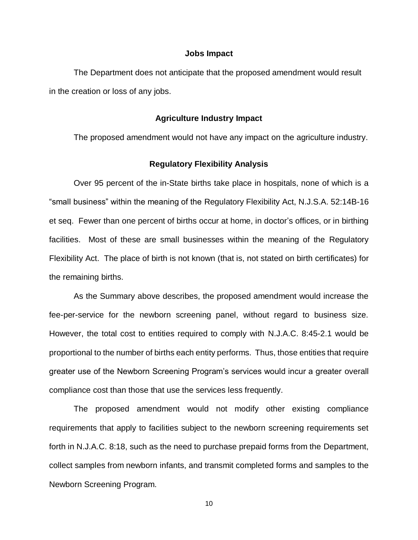### **Jobs Impact**

The Department does not anticipate that the proposed amendment would result in the creation or loss of any jobs.

### **Agriculture Industry Impact**

The proposed amendment would not have any impact on the agriculture industry.

### **Regulatory Flexibility Analysis**

Over 95 percent of the in-State births take place in hospitals, none of which is a "small business" within the meaning of the Regulatory Flexibility Act, N.J.S.A. 52:14B-16 et seq. Fewer than one percent of births occur at home, in doctor's offices, or in birthing facilities. Most of these are small businesses within the meaning of the Regulatory Flexibility Act. The place of birth is not known (that is, not stated on birth certificates) for the remaining births.

As the Summary above describes, the proposed amendment would increase the fee-per-service for the newborn screening panel, without regard to business size. However, the total cost to entities required to comply with N.J.A.C. 8:45-2.1 would be proportional to the number of births each entity performs. Thus, those entities that require greater use of the Newborn Screening Program's services would incur a greater overall compliance cost than those that use the services less frequently.

The proposed amendment would not modify other existing compliance requirements that apply to facilities subject to the newborn screening requirements set forth in N.J.A.C. 8:18, such as the need to purchase prepaid forms from the Department, collect samples from newborn infants, and transmit completed forms and samples to the Newborn Screening Program.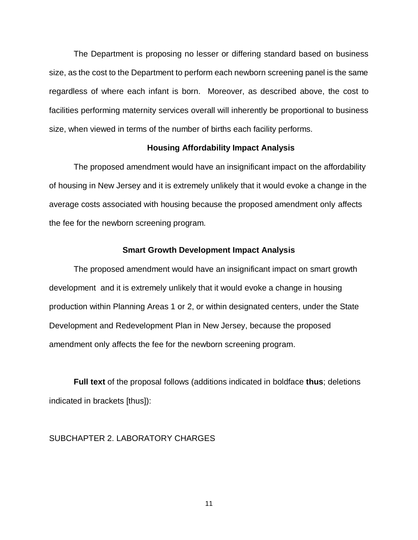The Department is proposing no lesser or differing standard based on business size, as the cost to the Department to perform each newborn screening panel is the same regardless of where each infant is born. Moreover, as described above, the cost to facilities performing maternity services overall will inherently be proportional to business size, when viewed in terms of the number of births each facility performs.

### **Housing Affordability Impact Analysis**

The proposed amendment would have an insignificant impact on the affordability of housing in New Jersey and it is extremely unlikely that it would evoke a change in the average costs associated with housing because the proposed amendment only affects the fee for the newborn screening program.

### **Smart Growth Development Impact Analysis**

The proposed amendment would have an insignificant impact on smart growth development and it is extremely unlikely that it would evoke a change in housing production within Planning Areas 1 or 2, or within designated centers, under the State Development and Redevelopment Plan in New Jersey, because the proposed amendment only affects the fee for the newborn screening program.

**Full text** of the proposal follows (additions indicated in boldface **thus**; deletions indicated in brackets [thus]):

## SUBCHAPTER 2. LABORATORY CHARGES